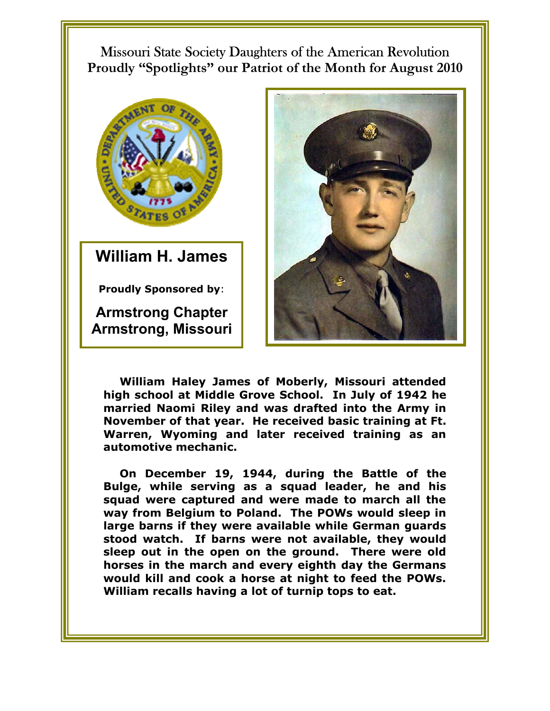Missouri State Society Daughters of the American Revolution **Proudly "Spotlights" our Patriot of the Month for August 2010** 



**William H. James** 

**Proudly Sponsored by**:

**Armstrong Chapter Armstrong, Missouri**



**William Haley James of Moberly, Missouri attended high school at Middle Grove School. In July of 1942 he married Naomi Riley and was drafted into the Army in November of that year. He received basic training at Ft. Warren, Wyoming and later received training as an automotive mechanic.** 

**On December 19, 1944, during the Battle of the Bulge, while serving as a squad leader, he and his squad were captured and were made to march all the way from Belgium to Poland. The POWs would sleep in large barns if they were available while German guards stood watch. If barns were not available, they would sleep out in the open on the ground. There were old horses in the march and every eighth day the Germans would kill and cook a horse at night to feed the POWs. William recalls having a lot of turnip tops to eat.**